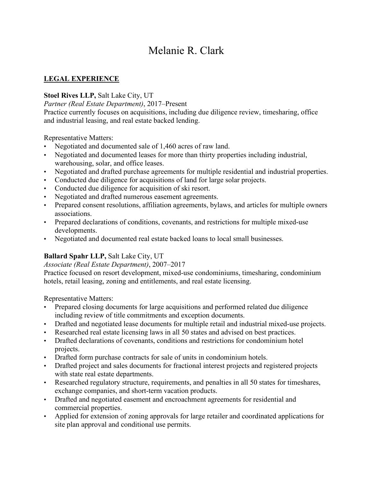# Melanie R. Clark

## **LEGAL EXPERIENCE**

## **Stoel Rives LLP,** Salt Lake City, UT

*Partner (Real Estate Department)*, 2017–Present

Practice currently focuses on acquisitions, including due diligence review, timesharing, office and industrial leasing, and real estate backed lending.

Representative Matters:

- Negotiated and documented sale of 1,460 acres of raw land.
- Negotiated and documented leases for more than thirty properties including industrial, warehousing, solar, and office leases.
- Negotiated and drafted purchase agreements for multiple residential and industrial properties.
- Conducted due diligence for acquisitions of land for large solar projects.
- Conducted due diligence for acquisition of ski resort.
- Negotiated and drafted numerous easement agreements.
- Prepared consent resolutions, affiliation agreements, bylaws, and articles for multiple owners associations.
- Prepared declarations of conditions, covenants, and restrictions for multiple mixed-use developments.
- Negotiated and documented real estate backed loans to local small businesses.

## **Ballard Spahr LLP,** Salt Lake City, UT

## *Associate (Real Estate Department)*, 2007–2017

Practice focused on resort development, mixed-use condominiums, timesharing, condominium hotels, retail leasing, zoning and entitlements, and real estate licensing.

Representative Matters:

- Prepared closing documents for large acquisitions and performed related due diligence including review of title commitments and exception documents.
- Drafted and negotiated lease documents for multiple retail and industrial mixed-use projects.
- Researched real estate licensing laws in all 50 states and advised on best practices.
- Drafted declarations of covenants, conditions and restrictions for condominium hotel projects.
- Drafted form purchase contracts for sale of units in condominium hotels.
- Drafted project and sales documents for fractional interest projects and registered projects with state real estate departments.
- Researched regulatory structure, requirements, and penalties in all 50 states for timeshares, exchange companies, and short-term vacation products.
- Drafted and negotiated easement and encroachment agreements for residential and commercial properties.
- Applied for extension of zoning approvals for large retailer and coordinated applications for site plan approval and conditional use permits.